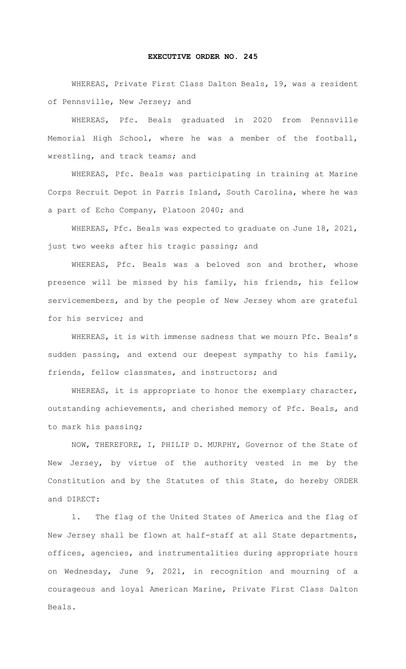## **EXECUTIVE ORDER NO. 245**

WHEREAS, Private First Class Dalton Beals, 19, was a resident of Pennsville, New Jersey; and

WHEREAS, Pfc. Beals graduated in 2020 from Pennsville Memorial High School, where he was a member of the football, wrestling, and track teams; and

WHEREAS, Pfc. Beals was participating in training at Marine Corps Recruit Depot in Parris Island, South Carolina, where he was a part of Echo Company, Platoon 2040; and

WHEREAS, Pfc. Beals was expected to graduate on June 18, 2021, just two weeks after his tragic passing; and

WHEREAS, Pfc. Beals was a beloved son and brother, whose presence will be missed by his family, his friends, his fellow servicemembers, and by the people of New Jersey whom are grateful for his service; and

WHEREAS, it is with immense sadness that we mourn Pfc. Beals's sudden passing, and extend our deepest sympathy to his family, friends, fellow classmates, and instructors; and

WHEREAS, it is appropriate to honor the exemplary character, outstanding achievements, and cherished memory of Pfc. Beals, and to mark his passing;

NOW, THEREFORE, I, PHILIP D. MURPHY, Governor of the State of New Jersey, by virtue of the authority vested in me by the Constitution and by the Statutes of this State, do hereby ORDER and DIRECT:

1. The flag of the United States of America and the flag of New Jersey shall be flown at half-staff at all State departments, offices, agencies, and instrumentalities during appropriate hours on Wednesday, June 9, 2021, in recognition and mourning of a courageous and loyal American Marine, Private First Class Dalton Beals.